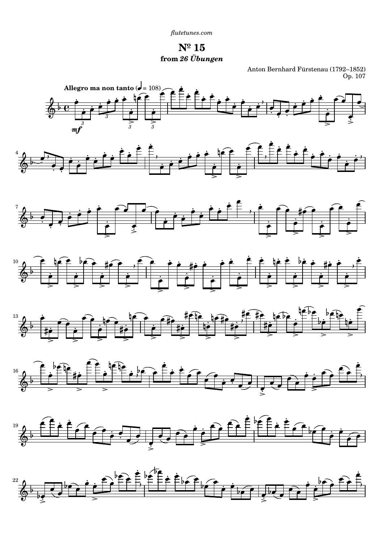*[flutetunes.com](http://www.flutetunes.com)*

**Nº 15 from** *26 Übungen*

Anton Bernhard Fürstenau (1792–1852) Op. 107